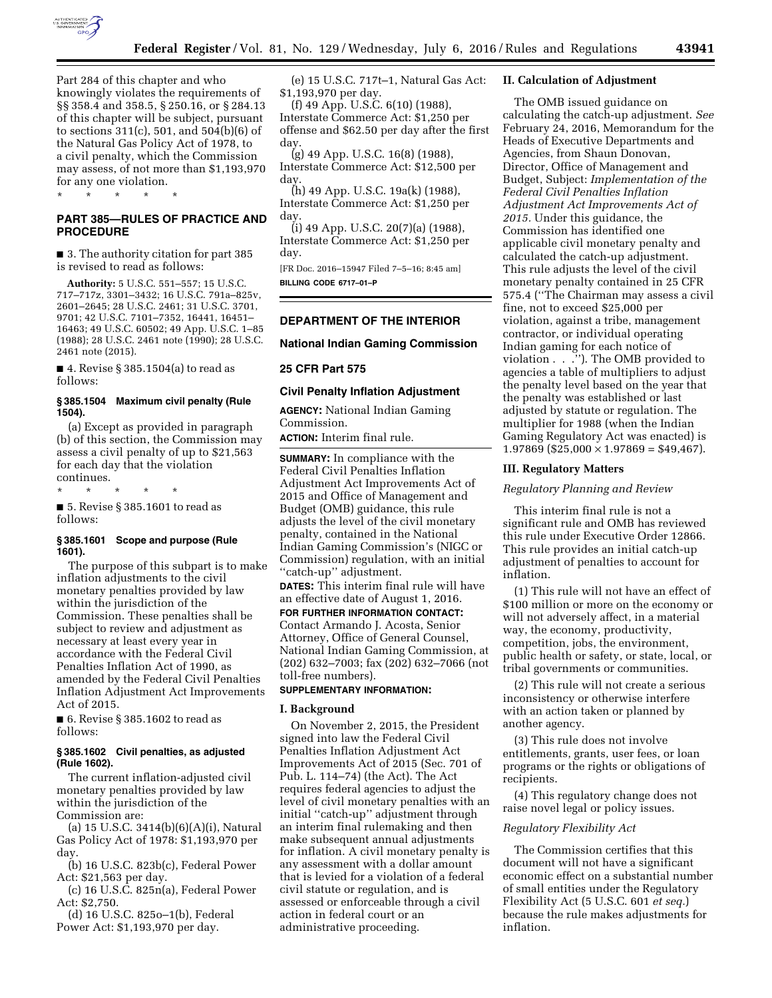

Part 284 of this chapter and who knowingly violates the requirements of §§ 358.4 and 358.5, § 250.16, or § 284.13 of this chapter will be subject, pursuant to sections 311(c), 501, and 504(b)(6) of the Natural Gas Policy Act of 1978, to a civil penalty, which the Commission may assess, of not more than \$1,193,970 for any one violation.

\* \* \* \* \*

# **PART 385—RULES OF PRACTICE AND PROCEDURE**

■ 3. The authority citation for part 385 is revised to read as follows:

**Authority:** 5 U.S.C. 551–557; 15 U.S.C. 717–717z, 3301–3432; 16 U.S.C. 791a–825v, 2601–2645; 28 U.S.C. 2461; 31 U.S.C. 3701, 9701; 42 U.S.C. 7101–7352, 16441, 16451– 16463; 49 U.S.C. 60502; 49 App. U.S.C. 1–85 (1988); 28 U.S.C. 2461 note (1990); 28 U.S.C. 2461 note (2015).

■ 4. Revise § 385.1504(a) to read as follows:

# **§ 385.1504 Maximum civil penalty (Rule 1504).**

(a) Except as provided in paragraph (b) of this section, the Commission may assess a civil penalty of up to \$21,563 for each day that the violation continues.

\* \* \* \* \*

■ 5. Revise § 385.1601 to read as follows:

# **§ 385.1601 Scope and purpose (Rule 1601).**

The purpose of this subpart is to make inflation adjustments to the civil monetary penalties provided by law within the jurisdiction of the Commission. These penalties shall be subject to review and adjustment as necessary at least every year in accordance with the Federal Civil Penalties Inflation Act of 1990, as amended by the Federal Civil Penalties Inflation Adjustment Act Improvements Act of 2015.

■ 6. Revise § 385.1602 to read as follows:

# **§ 385.1602 Civil penalties, as adjusted (Rule 1602).**

The current inflation-adjusted civil monetary penalties provided by law within the jurisdiction of the Commission are:

(a) 15 U.S.C. 3414(b)(6)(A)(i), Natural Gas Policy Act of 1978: \$1,193,970 per day.

 $(b)$  16 U.S.C. 823 $b(c)$ , Federal Power Act: \$21,563 per day.

(c) 16 U.S.C. 825n(a), Federal Power Act: \$2,750.

(d) 16 U.S.C. 825o–1(b), Federal Power Act: \$1,193,970 per day.

(e) 15 U.S.C. 717t–1, Natural Gas Act: \$1,193,970 per day.

(f) 49 App. U.S.C. 6(10) (1988), Interstate Commerce Act: \$1,250 per offense and \$62.50 per day after the first day.

(g) 49 App. U.S.C. 16(8) (1988), Interstate Commerce Act: \$12,500 per day.

(h) 49 App. U.S.C. 19a(k) (1988), Interstate Commerce Act: \$1,250 per day.

(i) 49 App. U.S.C. 20(7)(a) (1988), Interstate Commerce Act: \$1,250 per day.

[FR Doc. 2016–15947 Filed 7–5–16; 8:45 am] **BILLING CODE 6717–01–P** 

# **DEPARTMENT OF THE INTERIOR**

# **National Indian Gaming Commission**

## **25 CFR Part 575**

### **Civil Penalty Inflation Adjustment**

**AGENCY:** National Indian Gaming Commission.

**ACTION:** Interim final rule.

**SUMMARY:** In compliance with the Federal Civil Penalties Inflation Adjustment Act Improvements Act of 2015 and Office of Management and Budget (OMB) guidance, this rule adjusts the level of the civil monetary penalty, contained in the National Indian Gaming Commission's (NIGC or Commission) regulation, with an initial ''catch-up'' adjustment.

**DATES:** This interim final rule will have an effective date of August 1, 2016.

# **FOR FURTHER INFORMATION CONTACT:**  Contact Armando J. Acosta, Senior Attorney, Office of General Counsel, National Indian Gaming Commission, at (202) 632–7003; fax (202) 632–7066 (not toll-free numbers).

# **SUPPLEMENTARY INFORMATION:**

## **I. Background**

On November 2, 2015, the President signed into law the Federal Civil Penalties Inflation Adjustment Act Improvements Act of 2015 (Sec. 701 of Pub. L. 114–74) (the Act). The Act requires federal agencies to adjust the level of civil monetary penalties with an initial ''catch-up'' adjustment through an interim final rulemaking and then make subsequent annual adjustments for inflation. A civil monetary penalty is any assessment with a dollar amount that is levied for a violation of a federal civil statute or regulation, and is assessed or enforceable through a civil action in federal court or an administrative proceeding.

## **II. Calculation of Adjustment**

The OMB issued guidance on calculating the catch-up adjustment. *See*  February 24, 2016, Memorandum for the Heads of Executive Departments and Agencies, from Shaun Donovan, Director, Office of Management and Budget, Subject: *Implementation of the Federal Civil Penalties Inflation Adjustment Act Improvements Act of 2015.* Under this guidance, the Commission has identified one applicable civil monetary penalty and calculated the catch-up adjustment. This rule adjusts the level of the civil monetary penalty contained in 25 CFR 575.4 (''The Chairman may assess a civil fine, not to exceed \$25,000 per violation, against a tribe, management contractor, or individual operating Indian gaming for each notice of violation . . .''). The OMB provided to agencies a table of multipliers to adjust the penalty level based on the year that the penalty was established or last adjusted by statute or regulation. The multiplier for 1988 (when the Indian Gaming Regulatory Act was enacted) is  $1.97869$  (\$25,000  $\times$  1.97869 = \$49,467).

## **III. Regulatory Matters**

### *Regulatory Planning and Review*

This interim final rule is not a significant rule and OMB has reviewed this rule under Executive Order 12866. This rule provides an initial catch-up adjustment of penalties to account for inflation.

(1) This rule will not have an effect of \$100 million or more on the economy or will not adversely affect, in a material way, the economy, productivity, competition, jobs, the environment, public health or safety, or state, local, or tribal governments or communities.

(2) This rule will not create a serious inconsistency or otherwise interfere with an action taken or planned by another agency.

(3) This rule does not involve entitlements, grants, user fees, or loan programs or the rights or obligations of recipients.

(4) This regulatory change does not raise novel legal or policy issues.

## *Regulatory Flexibility Act*

The Commission certifies that this document will not have a significant economic effect on a substantial number of small entities under the Regulatory Flexibility Act (5 U.S.C. 601 *et seq.*) because the rule makes adjustments for inflation.